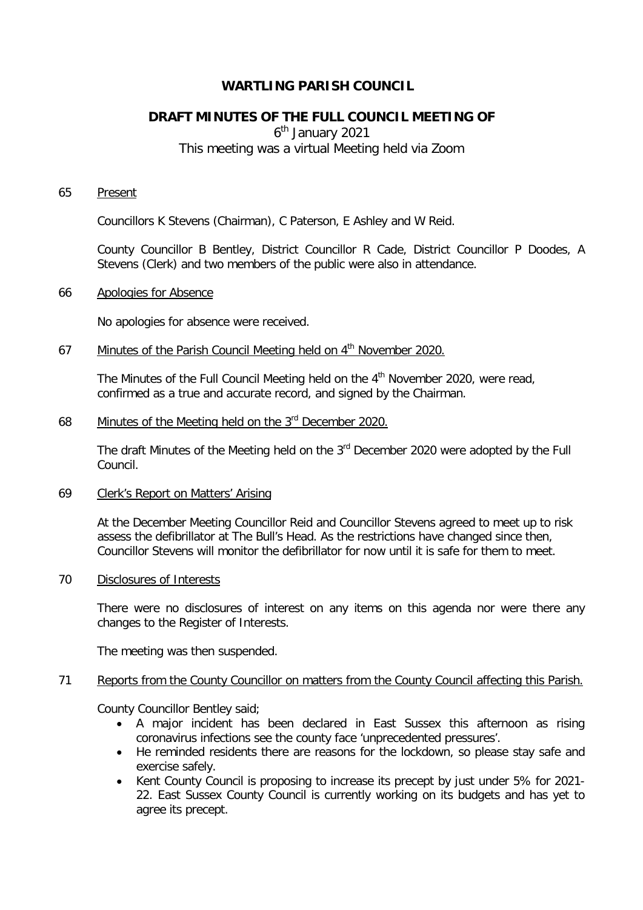# **WARTLING PARISH COUNCIL**

# **DRAFT MINUTES OF THE FULL COUNCIL MEETING OF**

6<sup>th</sup> January 2021

# This meeting was a virtual Meeting held via Zoom

#### 65 Present

Councillors K Stevens (Chairman), C Paterson, E Ashley and W Reid.

County Councillor B Bentley, District Councillor R Cade, District Councillor P Doodes, A Stevens (Clerk) and two members of the public were also in attendance.

#### 66 Apologies for Absence

No apologies for absence were received.

# 67 Minutes of the Parish Council Meeting held on 4<sup>th</sup> November 2020.

The Minutes of the Full Council Meeting held on the 4<sup>th</sup> November 2020, were read, confirmed as a true and accurate record, and signed by the Chairman.

# 68 Minutes of the Meeting held on the 3rd December 2020.

The draft Minutes of the Meeting held on the 3<sup>rd</sup> December 2020 were adopted by the Full Council.

## 69 Clerk's Report on Matters' Arising

At the December Meeting Councillor Reid and Councillor Stevens agreed to meet up to risk assess the defibrillator at The Bull's Head. As the restrictions have changed since then, Councillor Stevens will monitor the defibrillator for now until it is safe for them to meet.

#### 70 Disclosures of Interests

There were no disclosures of interest on any items on this agenda nor were there any changes to the Register of Interests.

The meeting was then suspended.

# 71 Reports from the County Councillor on matters from the County Council affecting this Parish.

County Councillor Bentley said;

- A major incident has been declared in East Sussex this afternoon as rising coronavirus infections see the county face 'unprecedented pressures'.
- He reminded residents there are reasons for the lockdown, so please stay safe and exercise safely.
- Kent County Council is proposing to increase its precept by just under 5% for 2021- 22. East Sussex County Council is currently working on its budgets and has yet to agree its precept.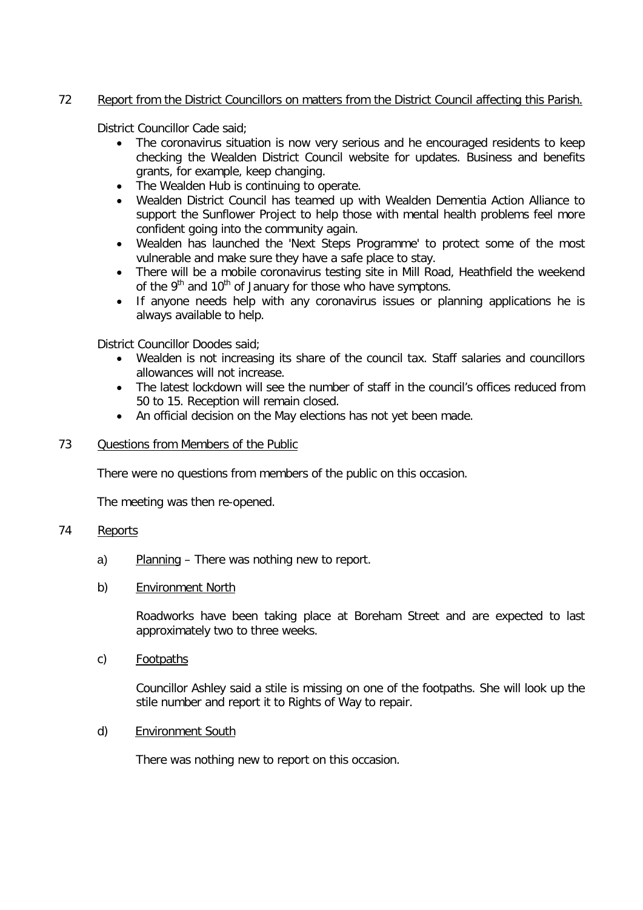# 72 Report from the District Councillors on matters from the District Council affecting this Parish.

District Councillor Cade said;

- The coronavirus situation is now very serious and he encouraged residents to keep checking the Wealden District Council website for updates. Business and benefits grants, for example, keep changing.
- The Wealden Hub is continuing to operate.
- Wealden District Council has teamed up with Wealden Dementia Action Alliance to support the Sunflower Project to help those with mental health problems feel more confident going into the community again.
- Wealden has launched the 'Next Steps Programme' to protect some of the most vulnerable and make sure they have a safe place to stay.
- There will be a mobile coronavirus testing site in Mill Road, Heathfield the weekend of the  $9<sup>th</sup>$  and  $10<sup>th</sup>$  of January for those who have symptons.
- If anyone needs help with any coronavirus issues or planning applications he is always available to help.

District Councillor Doodes said;

- Wealden is not increasing its share of the council tax. Staff salaries and councillors allowances will not increase.
- The latest lockdown will see the number of staff in the council's offices reduced from 50 to 15. Reception will remain closed.
- An official decision on the May elections has not yet been made.

## 73 Questions from Members of the Public

There were no questions from members of the public on this occasion.

The meeting was then re-opened.

# 74 Reports

- a) Planning There was nothing new to report.
- b) Environment North

Roadworks have been taking place at Boreham Street and are expected to last approximately two to three weeks.

c) Footpaths

Councillor Ashley said a stile is missing on one of the footpaths. She will look up the stile number and report it to Rights of Way to repair.

d) Environment South

There was nothing new to report on this occasion.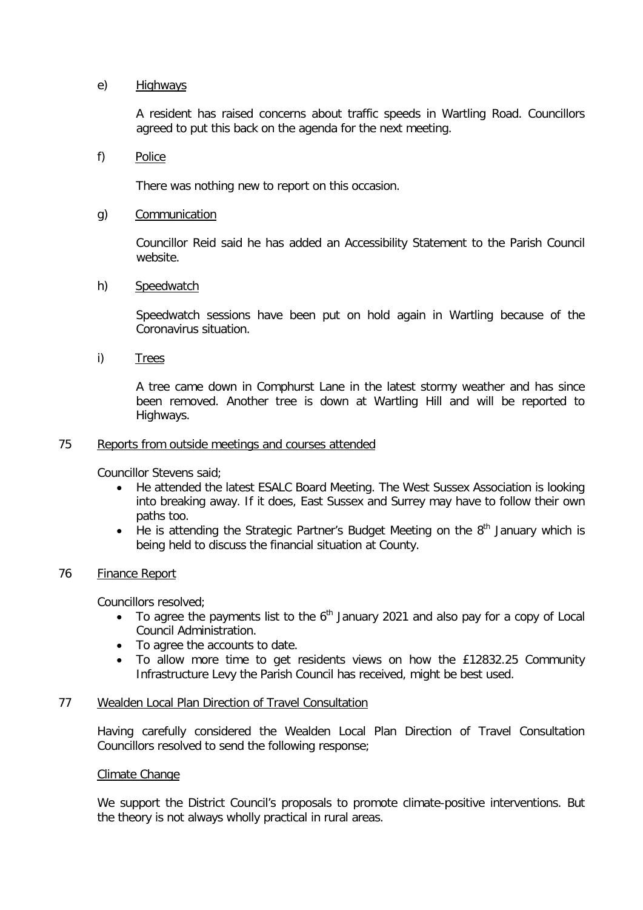# e) Highways

A resident has raised concerns about traffic speeds in Wartling Road. Councillors agreed to put this back on the agenda for the next meeting.

#### f) Police

There was nothing new to report on this occasion.

#### g) Communication

Councillor Reid said he has added an Accessibility Statement to the Parish Council website.

## h) Speedwatch

Speedwatch sessions have been put on hold again in Wartling because of the Coronavirus situation.

i) Trees

A tree came down in Comphurst Lane in the latest stormy weather and has since been removed. Another tree is down at Wartling Hill and will be reported to Highways.

#### 75 Reports from outside meetings and courses attended

Councillor Stevens said;

- He attended the latest ESALC Board Meeting. The West Sussex Association is looking into breaking away. If it does, East Sussex and Surrey may have to follow their own paths too.
- He is attending the Strategic Partner's Budget Meeting on the  $8<sup>th</sup>$  January which is being held to discuss the financial situation at County.

## 76 Finance Report

Councillors resolved;

- To agree the payments list to the  $6<sup>th</sup>$  January 2021 and also pay for a copy of Local Council Administration.
- To agree the accounts to date.
- To allow more time to get residents views on how the £12832.25 Community Infrastructure Levy the Parish Council has received, might be best used.

#### 77 Wealden Local Plan Direction of Travel Consultation

Having carefully considered the Wealden Local Plan Direction of Travel Consultation Councillors resolved to send the following response;

#### Climate Change

We support the District Council's proposals to promote climate-positive interventions. But the theory is not always wholly practical in rural areas.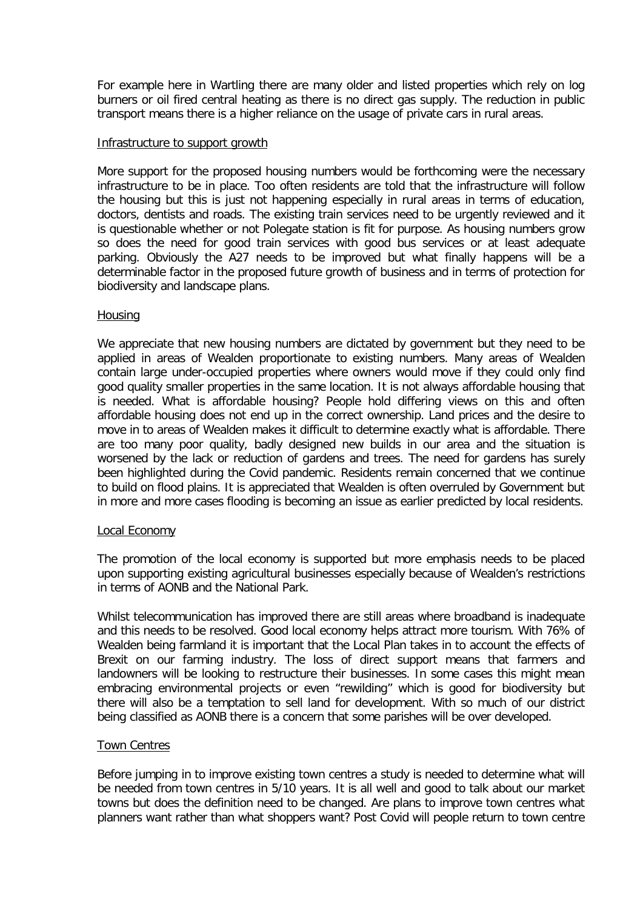For example here in Wartling there are many older and listed properties which rely on log burners or oil fired central heating as there is no direct gas supply. The reduction in public transport means there is a higher reliance on the usage of private cars in rural areas.

#### Infrastructure to support growth

More support for the proposed housing numbers would be forthcoming were the necessary infrastructure to be in place. Too often residents are told that the infrastructure will follow the housing but this is just not happening especially in rural areas in terms of education, doctors, dentists and roads. The existing train services need to be urgently reviewed and it is questionable whether or not Polegate station is fit for purpose. As housing numbers grow so does the need for good train services with good bus services or at least adequate parking. Obviously the A27 needs to be improved but what finally happens will be a determinable factor in the proposed future growth of business and in terms of protection for biodiversity and landscape plans.

## **Housing**

We appreciate that new housing numbers are dictated by government but they need to be applied in areas of Wealden proportionate to existing numbers. Many areas of Wealden contain large under-occupied properties where owners would move if they could only find good quality smaller properties in the same location. It is not always affordable housing that is needed. What is affordable housing? People hold differing views on this and often affordable housing does not end up in the correct ownership. Land prices and the desire to move in to areas of Wealden makes it difficult to determine exactly what is affordable. There are too many poor quality, badly designed new builds in our area and the situation is worsened by the lack or reduction of gardens and trees. The need for gardens has surely been highlighted during the Covid pandemic. Residents remain concerned that we continue to build on flood plains. It is appreciated that Wealden is often overruled by Government but in more and more cases flooding is becoming an issue as earlier predicted by local residents.

# Local Economy

The promotion of the local economy is supported but more emphasis needs to be placed upon supporting existing agricultural businesses especially because of Wealden's restrictions in terms of AONB and the National Park.

Whilst telecommunication has improved there are still areas where broadband is inadequate and this needs to be resolved. Good local economy helps attract more tourism. With 76% of Wealden being farmland it is important that the Local Plan takes in to account the effects of Brexit on our farming industry. The loss of direct support means that farmers and landowners will be looking to restructure their businesses. In some cases this might mean embracing environmental projects or even "rewilding" which is good for biodiversity but there will also be a temptation to sell land for development. With so much of our district being classified as AONB there is a concern that some parishes will be over developed.

# Town Centres

Before jumping in to improve existing town centres a study is needed to determine what will be needed from town centres in 5/10 years. It is all well and good to talk about our market towns but does the definition need to be changed. Are plans to improve town centres what planners want rather than what shoppers want? Post Covid will people return to town centre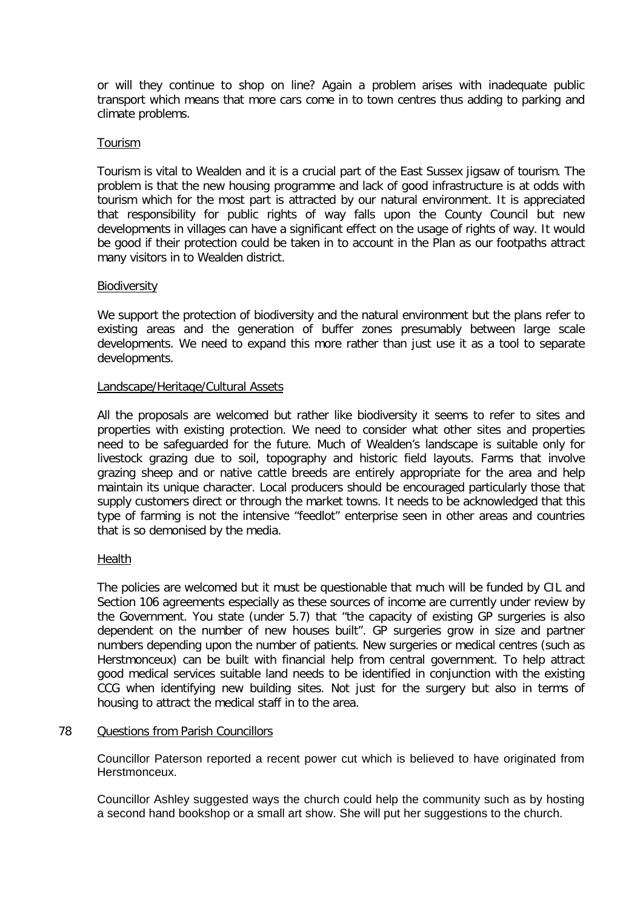or will they continue to shop on line? Again a problem arises with inadequate public transport which means that more cars come in to town centres thus adding to parking and climate problems.

## Tourism

Tourism is vital to Wealden and it is a crucial part of the East Sussex jigsaw of tourism. The problem is that the new housing programme and lack of good infrastructure is at odds with tourism which for the most part is attracted by our natural environment. It is appreciated that responsibility for public rights of way falls upon the County Council but new developments in villages can have a significant effect on the usage of rights of way. It would be good if their protection could be taken in to account in the Plan as our footpaths attract many visitors in to Wealden district.

## **Biodiversity**

We support the protection of biodiversity and the natural environment but the plans refer to existing areas and the generation of buffer zones presumably between large scale developments. We need to expand this more rather than just use it as a tool to separate developments.

## Landscape/Heritage/Cultural Assets

All the proposals are welcomed but rather like biodiversity it seems to refer to sites and properties with existing protection. We need to consider what other sites and properties need to be safeguarded for the future. Much of Wealden's landscape is suitable only for livestock grazing due to soil, topography and historic field layouts. Farms that involve grazing sheep and or native cattle breeds are entirely appropriate for the area and help maintain its unique character. Local producers should be encouraged particularly those that supply customers direct or through the market towns. It needs to be acknowledged that this type of farming is not the intensive "feedlot" enterprise seen in other areas and countries that is so demonised by the media.

#### Health

The policies are welcomed but it must be questionable that much will be funded by CIL and Section 106 agreements especially as these sources of income are currently under review by the Government. You state (under 5.7) that "the capacity of existing GP surgeries is also dependent on the number of new houses built". GP surgeries grow in size and partner numbers depending upon the number of patients. New surgeries or medical centres (such as Herstmonceux) can be built with financial help from central government. To help attract good medical services suitable land needs to be identified in conjunction with the existing CCG when identifying new building sites. Not just for the surgery but also in terms of housing to attract the medical staff in to the area.

#### 78 Questions from Parish Councillors

Councillor Paterson reported a recent power cut which is believed to have originated from Herstmonceux.

Councillor Ashley suggested ways the church could help the community such as by hosting a second hand bookshop or a small art show. She will put her suggestions to the church.